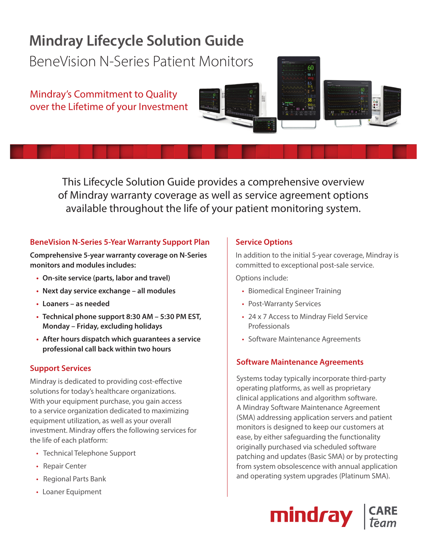# **Mindray Lifecycle Solution Guide**

BeneVision N-Series Patient Monitors

Mindray's Commitment to Quality over the Lifetime of your Investment





This Lifecycle Solution Guide provides a comprehensive overview of Mindray warranty coverage as well as service agreement options available throughout the life of your patient monitoring system.

### **BeneVision N-Series 5-Year Warranty Support Plan**

**Comprehensive 5-year warranty coverage on N-Series monitors and modules includes:**

- **On-site service (parts, labor and travel)**
- **Next day service exchange all modules**
- **Loaners as needed**
- **Technical phone support 8:30 AM 5:30 PM EST, Monday – Friday, excluding holidays**
- **After hours dispatch which guarantees a service professional call back within two hours**

#### **Support Services**

Mindray is dedicated to providing cost-effective solutions for today's healthcare organizations. With your equipment purchase, you gain access to a service organization dedicated to maximizing equipment utilization, as well as your overall investment. Mindray offers the following services for the life of each platform:

- Technical Telephone Support
- Repair Center
- Regional Parts Bank
- Loaner Equipment

#### **Service Options**

In addition to the initial 5-year coverage, Mindray is committed to exceptional post-sale service.

Options include:

- Biomedical Engineer Training
- Post-Warranty Services
- 24 x 7 Access to Mindray Field Service Professionals
- Software Maintenance Agreements

# **Software Maintenance Agreements**

Systems today typically incorporate third-party operating platforms, as well as proprietary clinical applications and algorithm software. A Mindray Software Maintenance Agreement (SMA) addressing application servers and patient monitors is designed to keep our customers at ease, by either safeguarding the functionality originally purchased via scheduled software patching and updates (Basic SMA) or by protecting from system obsolescence with annual application and operating system upgrades (Platinum SMA).